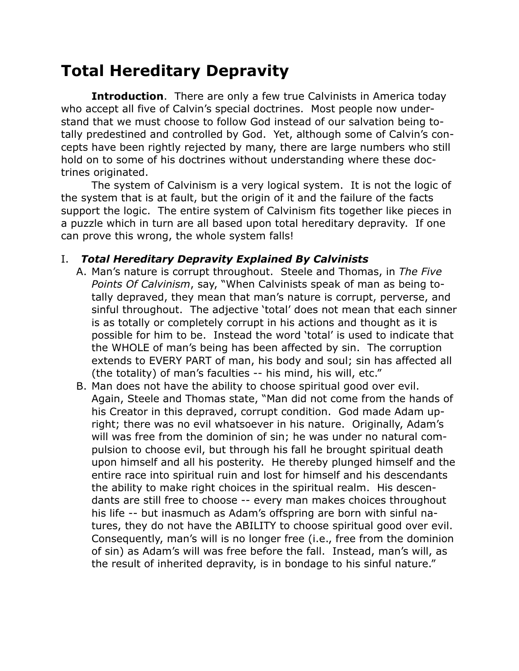# **Total Hereditary Depravity**

**Introduction.** There are only a few true Calvinists in America today who accept all five of Calvin's special doctrines. Most people now understand that we must choose to follow God instead of our salvation being totally predestined and controlled by God. Yet, although some of Calvin's concepts have been rightly rejected by many, there are large numbers who still hold on to some of his doctrines without understanding where these doctrines originated.

The system of Calvinism is a very logical system. It is not the logic of the system that is at fault, but the origin of it and the failure of the facts support the logic. The entire system of Calvinism fits together like pieces in a puzzle which in turn are all based upon total hereditary depravity. If one can prove this wrong, the whole system falls!

#### I. *Total Hereditary Depravity Explained By Calvinists*

- A. Man's nature is corrupt throughout. Steele and Thomas, in *The Five Points Of Calvinism*, say, "When Calvinists speak of man as being totally depraved, they mean that man's nature is corrupt, perverse, and sinful throughout. The adjective 'total' does not mean that each sinner is as totally or completely corrupt in his actions and thought as it is possible for him to be. Instead the word 'total' is used to indicate that the WHOLE of man's being has been affected by sin. The corruption extends to EVERY PART of man, his body and soul; sin has affected all (the totality) of man's faculties -- his mind, his will, etc."
- B. Man does not have the ability to choose spiritual good over evil. Again, Steele and Thomas state, "Man did not come from the hands of his Creator in this depraved, corrupt condition. God made Adam upright; there was no evil whatsoever in his nature. Originally, Adam's will was free from the dominion of sin; he was under no natural compulsion to choose evil, but through his fall he brought spiritual death upon himself and all his posterity. He thereby plunged himself and the entire race into spiritual ruin and lost for himself and his descendants the ability to make right choices in the spiritual realm. His descendants are still free to choose -- every man makes choices throughout his life -- but inasmuch as Adam's offspring are born with sinful natures, they do not have the ABILITY to choose spiritual good over evil. Consequently, man's will is no longer free (i.e., free from the dominion of sin) as Adam's will was free before the fall. Instead, man's will, as the result of inherited depravity, is in bondage to his sinful nature."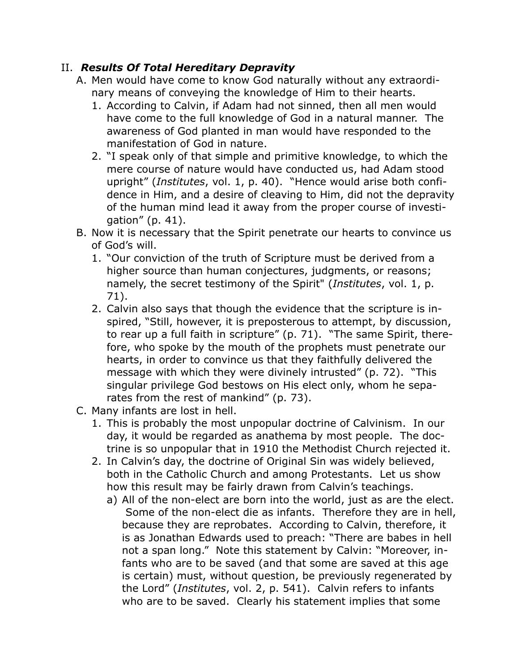#### II. *Results Of Total Hereditary Depravity*

- A. Men would have come to know God naturally without any extraordinary means of conveying the knowledge of Him to their hearts.
	- 1. According to Calvin, if Adam had not sinned, then all men would have come to the full knowledge of God in a natural manner. The awareness of God planted in man would have responded to the manifestation of God in nature.
	- 2. "I speak only of that simple and primitive knowledge, to which the mere course of nature would have conducted us, had Adam stood upright" (*Institutes*, vol. 1, p. 40). "Hence would arise both confidence in Him, and a desire of cleaving to Him, did not the depravity of the human mind lead it away from the proper course of investigation" (p. 41).
- B. Now it is necessary that the Spirit penetrate our hearts to convince us of God's will.
	- 1. "Our conviction of the truth of Scripture must be derived from a higher source than human conjectures, judgments, or reasons; namely, the secret testimony of the Spirit" (*Institutes*, vol. 1, p. 71).
	- 2. Calvin also says that though the evidence that the scripture is inspired, "Still, however, it is preposterous to attempt, by discussion, to rear up a full faith in scripture" (p. 71). "The same Spirit, therefore, who spoke by the mouth of the prophets must penetrate our hearts, in order to convince us that they faithfully delivered the message with which they were divinely intrusted" (p. 72). "This singular privilege God bestows on His elect only, whom he separates from the rest of mankind" (p. 73).
- C. Many infants are lost in hell.
	- 1. This is probably the most unpopular doctrine of Calvinism. In our day, it would be regarded as anathema by most people. The doctrine is so unpopular that in 1910 the Methodist Church rejected it.
	- 2. In Calvin's day, the doctrine of Original Sin was widely believed, both in the Catholic Church and among Protestants. Let us show how this result may be fairly drawn from Calvin's teachings.
		- a) All of the non-elect are born into the world, just as are the elect. Some of the non-elect die as infants. Therefore they are in hell, because they are reprobates. According to Calvin, therefore, it is as Jonathan Edwards used to preach: "There are babes in hell not a span long." Note this statement by Calvin: "Moreover, infants who are to be saved (and that some are saved at this age is certain) must, without question, be previously regenerated by the Lord" (*Institutes*, vol. 2, p. 541). Calvin refers to infants who are to be saved. Clearly his statement implies that some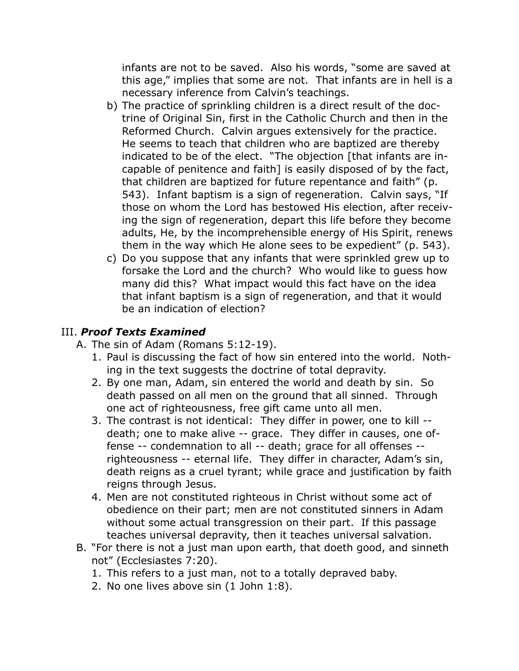infants are not to be saved. Also his words, "some are saved at this age," implies that some are not. That infants are in hell is a necessary inference from Calvin's teachings.

- b) The practice of sprinkling children is a direct result of the doctrine of Original Sin, first in the Catholic Church and then in the Reformed Church. Calvin argues extensively for the practice. He seems to teach that children who are baptized are thereby indicated to be of the elect. "The objection [that infants are incapable of penitence and faith] is easily disposed of by the fact, that children are baptized for future repentance and faith" (p. 543). Infant baptism is a sign of regeneration. Calvin says, "If those on whom the Lord has bestowed His election, after receiving the sign of regeneration, depart this life before they become adults, He, by the incomprehensible energy of His Spirit, renews them in the way which He alone sees to be expedient" (p. 543).
- c) Do you suppose that any infants that were sprinkled grew up to forsake the Lord and the church? Who would like to guess how many did this? What impact would this fact have on the idea that infant baptism is a sign of regeneration, and that it would be an indication of election?

## III. *Proof Texts Examined*

- A. The sin of Adam (Romans 5:12-19).
	- 1. Paul is discussing the fact of how sin entered into the world. Nothing in the text suggests the doctrine of total depravity.
	- 2. By one man, Adam, sin entered the world and death by sin. So death passed on all men on the ground that all sinned. Through one act of righteousness, free gift came unto all men.
	- 3. The contrast is not identical: They differ in power, one to kill death; one to make alive -- grace. They differ in causes, one offense -- condemnation to all -- death; grace for all offenses - righteousness -- eternal life. They differ in character, Adam's sin, death reigns as a cruel tyrant; while grace and justification by faith reigns through Jesus.
	- 4. Men are not constituted righteous in Christ without some act of obedience on their part; men are not constituted sinners in Adam without some actual transgression on their part. If this passage teaches universal depravity, then it teaches universal salvation.
- B. "For there is not a just man upon earth, that doeth good, and sinneth not" (Ecclesiastes 7:20).
	- 1. This refers to a just man, not to a totally depraved baby.
	- 2. No one lives above sin (1 John 1:8).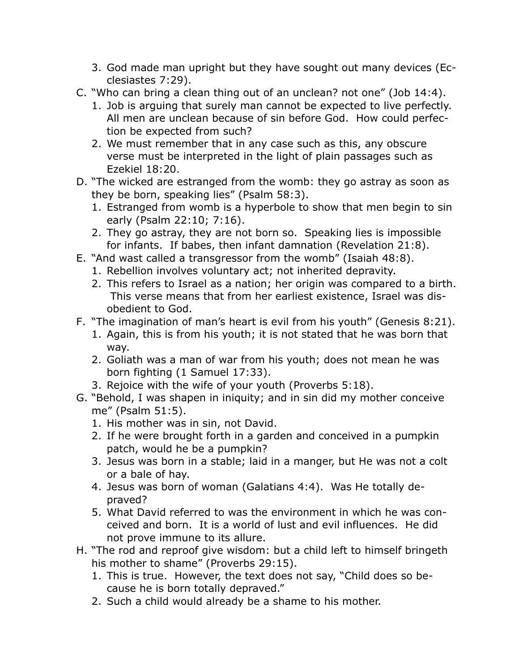- 3. God made man upright but they have sought out many devices (Ecclesiastes 7:29).
- C. "Who can bring a clean thing out of an unclean? not one" (Job 14:4).
	- 1. Job is arguing that surely man cannot be expected to live perfectly. All men are unclean because of sin before God. How could perfection be expected from such?
	- 2. We must remember that in any case such as this, any obscure verse must be interpreted in the light of plain passages such as Ezekiel 18:20.
- D. "The wicked are estranged from the womb: they go astray as soon as they be born, speaking lies" (Psalm 58:3).
	- 1. Estranged from womb is a hyperbole to show that men begin to sin early (Psalm 22:10; 7:16).
	- 2. They go astray, they are not born so. Speaking lies is impossible for infants. If babes, then infant damnation (Revelation 21:8).
- E. "And wast called a transgressor from the womb" (Isaiah 48:8).
	- 1. Rebellion involves voluntary act; not inherited depravity.
	- 2. This refers to Israel as a nation; her origin was compared to a birth. This verse means that from her earliest existence, Israel was disobedient to God.
- F. "The imagination of man's heart is evil from his youth" (Genesis 8:21).
	- 1. Again, this is from his youth; it is not stated that he was born that way.
	- 2. Goliath was a man of war from his youth; does not mean he was born fighting (1 Samuel 17:33).
	- 3. Rejoice with the wife of your youth (Proverbs 5:18).
- G. "Behold, I was shapen in iniquity; and in sin did my mother conceive me" (Psalm 51:5).
	- 1. His mother was in sin, not David.
	- 2. If he were brought forth in a garden and conceived in a pumpkin patch, would he be a pumpkin?
	- 3. Jesus was born in a stable; laid in a manger, but He was not a colt or a bale of hay.
	- 4. Jesus was born of woman (Galatians 4:4). Was He totally depraved?
	- 5. What David referred to was the environment in which he was conceived and born. It is a world of lust and evil influences. He did not prove immune to its allure.
- H. "The rod and reproof give wisdom: but a child left to himself bringeth his mother to shame" (Proverbs 29:15).
	- 1. This is true. However, the text does not say, "Child does so because he is born totally depraved."
	- 2. Such a child would already be a shame to his mother.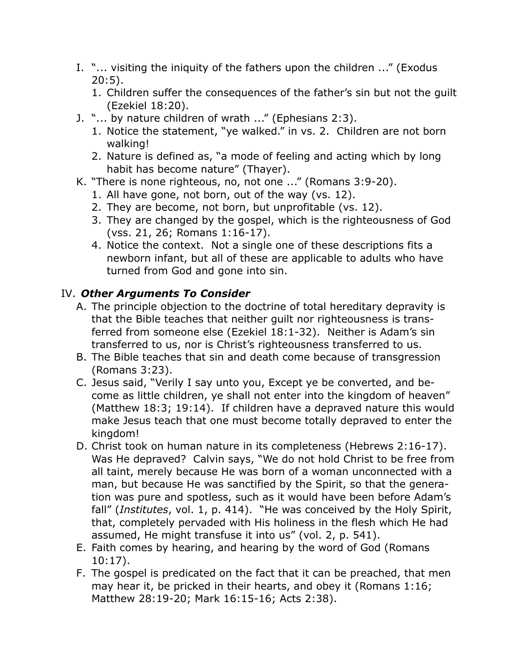- I. "... visiting the iniquity of the fathers upon the children ..." (Exodus 20:5).
	- 1. Children suffer the consequences of the father's sin but not the guilt (Ezekiel 18:20).
- J. "... by nature children of wrath ..." (Ephesians 2:3).
	- 1. Notice the statement, "ye walked." in vs. 2. Children are not born walking!
	- 2. Nature is defined as, "a mode of feeling and acting which by long habit has become nature" (Thayer).
- K. "There is none righteous, no, not one ..." (Romans 3:9-20).
	- 1. All have gone, not born, out of the way (vs. 12).
	- 2. They are become, not born, but unprofitable (vs. 12).
	- 3. They are changed by the gospel, which is the righteousness of God (vss. 21, 26; Romans 1:16-17).
	- 4. Notice the context. Not a single one of these descriptions fits a newborn infant, but all of these are applicable to adults who have turned from God and gone into sin.

### IV. *Other Arguments To Consider*

- A. The principle objection to the doctrine of total hereditary depravity is that the Bible teaches that neither guilt nor righteousness is transferred from someone else (Ezekiel 18:1-32). Neither is Adam's sin transferred to us, nor is Christ's righteousness transferred to us.
- B. The Bible teaches that sin and death come because of transgression (Romans 3:23).
- C. Jesus said, "Verily I say unto you, Except ye be converted, and become as little children, ye shall not enter into the kingdom of heaven" (Matthew 18:3; 19:14). If children have a depraved nature this would make Jesus teach that one must become totally depraved to enter the kingdom!
- D. Christ took on human nature in its completeness (Hebrews 2:16-17). Was He depraved? Calvin says, "We do not hold Christ to be free from all taint, merely because He was born of a woman unconnected with a man, but because He was sanctified by the Spirit, so that the generation was pure and spotless, such as it would have been before Adam's fall" (*Institutes*, vol. 1, p. 414). "He was conceived by the Holy Spirit, that, completely pervaded with His holiness in the flesh which He had assumed, He might transfuse it into us" (vol. 2, p. 541).
- E. Faith comes by hearing, and hearing by the word of God (Romans 10:17).
- F. The gospel is predicated on the fact that it can be preached, that men may hear it, be pricked in their hearts, and obey it (Romans 1:16; Matthew 28:19-20; Mark 16:15-16; Acts 2:38).